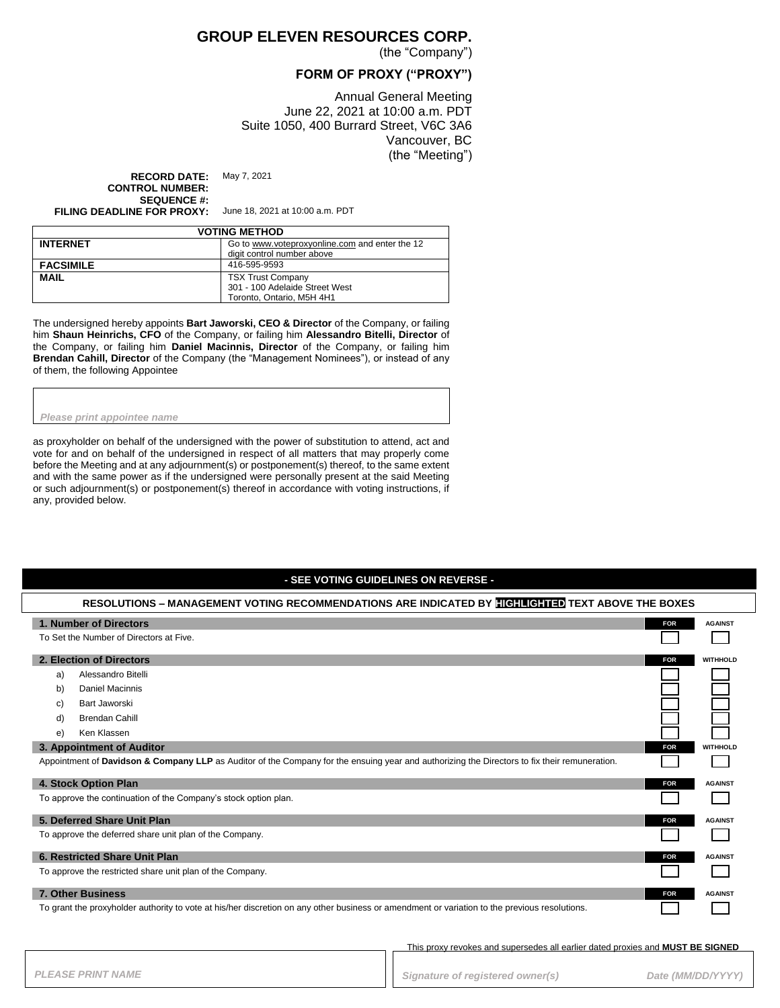## **GROUP ELEVEN RESOURCES CORP.**

(the "Company")

### **FORM OF PROXY ("PROXY")**

Annual General Meeting June 22, 2021 at 10:00 a.m. PDT Suite 1050, 400 Burrard Street, V6C 3A6 Vancouver, BC (the "Meeting")

**RECORD DATE:** May 7, 2021 **CONTROL NUMBER: SEQUENCE #:**

**FILING DEADLINE FOR PROXY:** June 18, 2021 at 10:00 a.m. PDT

| <b>VOTING METHOD</b> |                                                                                         |  |
|----------------------|-----------------------------------------------------------------------------------------|--|
| <b>INTERNET</b>      | Go to www.voteproxyonline.com and enter the 12<br>digit control number above            |  |
| <b>FACSIMILE</b>     | 416-595-9593                                                                            |  |
| <b>MAIL</b>          | <b>TSX Trust Company</b><br>301 - 100 Adelaide Street West<br>Toronto, Ontario, M5H 4H1 |  |

The undersigned hereby appoints **Bart Jaworski, CEO & Director** of the Company, or failing him **Shaun Heinrichs, CFO** of the Company, or failing him **Alessandro Bitelli, Director** of the Company, or failing him **Daniel Macinnis, Director** of the Company, or failing him **Brendan Cahill, Director** of the Company (the "Management Nominees"), or instead of any of them, the following Appointee

#### *Please print appointee name*

as proxyholder on behalf of the undersigned with the power of substitution to attend, act and vote for and on behalf of the undersigned in respect of all matters that may properly come before the Meeting and at any adjournment(s) or postponement(s) thereof, to the same extent and with the same power as if the undersigned were personally present at the said Meeting or such adjournment(s) or postponement(s) thereof in accordance with voting instructions, if any, provided below.

#### **- SEE VOTING GUIDELINES ON REVERSE -**

| RESOLUTIONS – MANAGEMENT VOTING RECOMMENDATIONS ARE INDICATED BY HIGHLIGHTED TEXT ABOVE THE BOXES                                             |            |                 |
|-----------------------------------------------------------------------------------------------------------------------------------------------|------------|-----------------|
| 1. Number of Directors                                                                                                                        | <b>FOR</b> | <b>AGAINST</b>  |
| To Set the Number of Directors at Five.                                                                                                       |            |                 |
| 2. Election of Directors                                                                                                                      | <b>FOR</b> | <b>WITHHOLD</b> |
| Alessandro Bitelli<br>a)                                                                                                                      |            |                 |
| <b>Daniel Macinnis</b><br>b)                                                                                                                  |            |                 |
| Bart Jaworski<br>C)                                                                                                                           |            |                 |
| <b>Brendan Cahill</b><br>d)                                                                                                                   |            |                 |
| Ken Klassen<br>e)                                                                                                                             |            |                 |
| 3. Appointment of Auditor                                                                                                                     | <b>FOR</b> | <b>WITHHOLD</b> |
| Appointment of Davidson & Company LLP as Auditor of the Company for the ensuing year and authorizing the Directors to fix their remuneration. |            |                 |
| 4. Stock Option Plan                                                                                                                          | <b>FOR</b> | <b>AGAINST</b>  |
| To approve the continuation of the Company's stock option plan.                                                                               |            |                 |
| 5. Deferred Share Unit Plan                                                                                                                   | <b>FOR</b> | <b>AGAINST</b>  |
| To approve the deferred share unit plan of the Company.                                                                                       |            |                 |
| 6. Restricted Share Unit Plan                                                                                                                 | <b>FOR</b> | <b>AGAINST</b>  |
| To approve the restricted share unit plan of the Company.                                                                                     |            |                 |
| <b>7. Other Business</b>                                                                                                                      | <b>FOR</b> | <b>AGAINST</b>  |
| To grant the proxyholder authority to vote at his/her discretion on any other business or amendment or variation to the previous resolutions. |            |                 |

This proxy revokes and supersedes all earlier dated proxies and **MUST BE SIGNED**